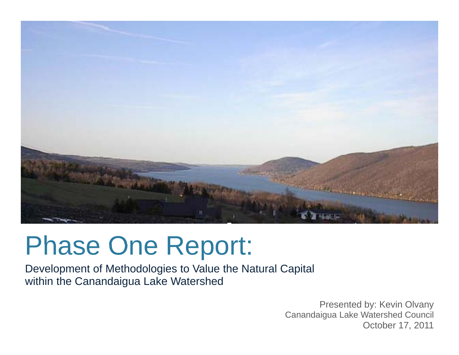

# Phase One Report:

Development of Methodologies to Value the Natural Capital within the Canandaigua Lake Watershed

> Presented by: Kevin Olvany Canandaigua Lake Watershed Council October 17, 2011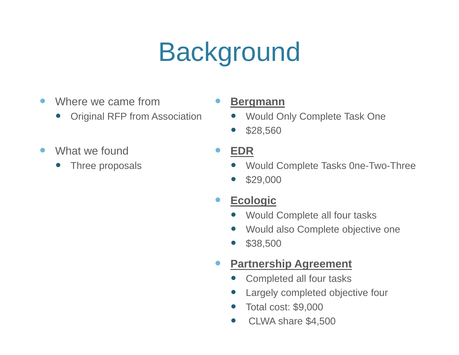# **Background**

- $\bullet$ Where we came from
	- $\bullet$ Original RFP from Association
- $\bullet$ What we found
	- $\bullet$

### **Bergmann**

- $\bullet$ Would Only Complete Task One
- $\bullet$ \$28,560

#### $\bullet$ **EDR**

- Three proposals **Complete Tasks One-Two-Three** 
	- 0 \$29,000

#### $\bullet$ **Ecologic**

- $\bullet$ Would Complete all four tasks
- $\bullet$ Would also Complete objective one
- $\bullet$ \$38 500 \$38,500

#### $\bullet$ **Partnership Agreement**

- $\bullet$ Completed all four tasks
- $\bullet$ Largely completed objective four
- $\bullet$ Total cost: \$9,000
- $\bullet$ CLWA share \$4,500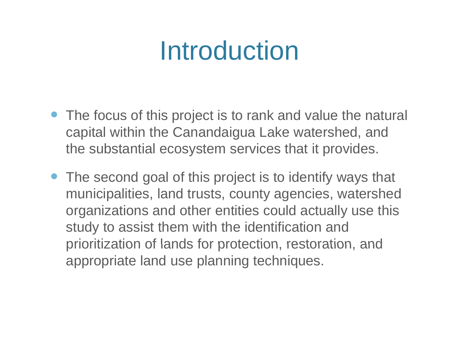# Introduction

- The focus of this project is to rank and value the natural capital within the Canandaigua Lake watershed, and the substantial ecosystem services that it provides.
- The second goal of this project is to identify ways that municipalities, land trusts, county agencies, watershed organizations and other entities could actually use this study to assist them with the identification and prioritization of lands for protection, restoration, and appropriate land use planning techniques.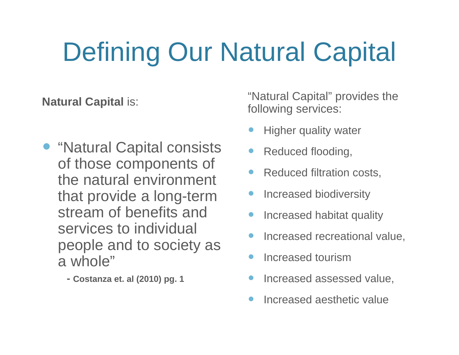# Defining Our Natural Capital

- "Natural Capital consists . of those components of the natural environment that provide a long-term state of the creased biodiversity<br>Stream of benefits and services to individual people and to society as a whole"
	- **- Costanza et. al (2010) pg. 1**

**Natural Capital is:** "Natural Capital" provides the "Natural Capital" provides the following services:

- $\bullet$ Higher quality water
- Reduced flooding
- $\bullet$ Reduced filtration costs,
- $\bullet$ Increased biodiversity
- $\bullet$ Increased habitat quality
- $\bullet$ Increased recreational value,
- $\bullet$ Increased tourism
- $\bullet$ Increased assessed value,
- $\bullet$ Increased aesthetic value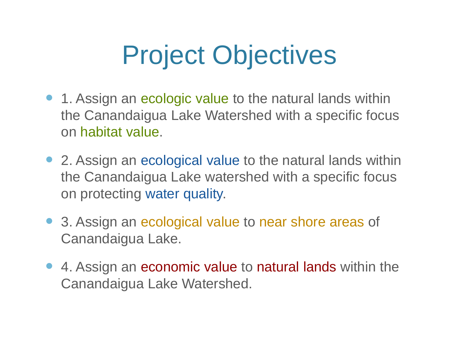# **Project Objectives**

- 1. Assign an ecologic value to the natural lands within the Canandaigua Lake Watershed with a specific focus on habitat value.
- 2. Assign an ecological value to the natural lands within the Canandaigua Lake watershed with a specific focus on protecting water quality.
- $\bullet$  3. Assign an ecological value to near shore areas of Canandaigua Lake.
- $\bullet$  4. Assign an economic value to natural lands within the Canandaigua Lake Watershed.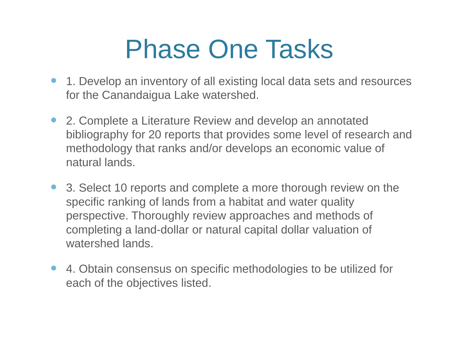# Phase One Tasks

- 1. Develop an inventory of all existing local data sets and resources for the Canandaigua Lake watershed.
- 2. Complete a Literature Review and develop an annotated bibliography for 20 reports that provides some level of research and methodology that ranks and/or develops an economic value of natural lands.
- $\bullet$  3. Select 10 reports and complete a more thorough review on the specific ranking of lands from a habitat and water quality perspective. Thoroughly review approaches and methods of completing a land-dollar or natural capital dollar valuation of watershed lands.
- $\bullet$  4. Obtain consensus on specific methodologies to be utilized for each of the objectives listed.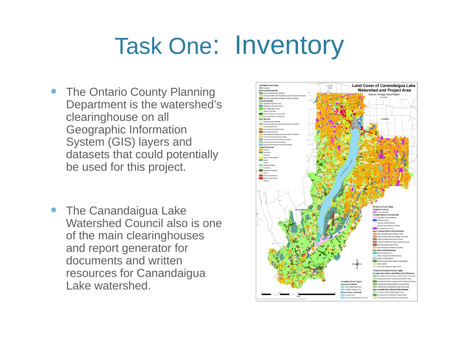# Task One: Inventory

- $\bullet$  The Ontario County Planning Department is the watershed's clearinghouse on all Geographic Information System (GIS) layers and datasets that could potentially be used for this project.
- The Canandaigua Lake Watershed Council also is one of the main clearinghouses and report generator for documents and written resources for Canandaigua Lake watershed.

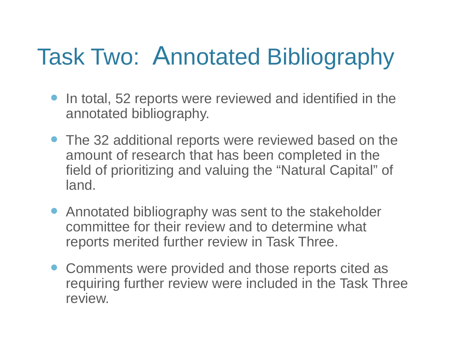## Task Two: Annotated Bibliography

- $\bullet$  In total, 52 reports were reviewed and identified in the annotated bibliography.
- The 32 additional reports were reviewed based on the amount of research that has been completed in the field of prioritizing and valuing the "Natural Capital" of land.
- Annotated bibliography was sent to the stakeholder committee for their review and to determine what reports merited further review in Task Three.
- Comments were provided and those reports cited as requiring further review were included in the Task Three review.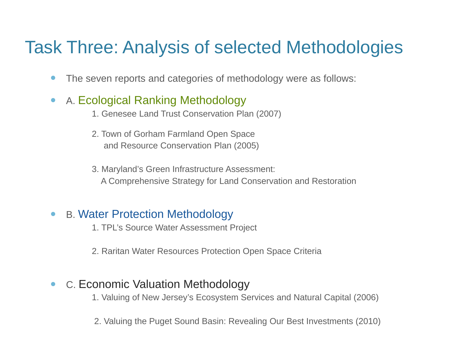### Task Three: Analysis of selected Methodologies

- $\bullet$ The seven reports and categories of methodology were as follows:
- $\bullet$  A. Ecological Ranking Methodology
	- 1. Genesee Land Trust Conservation Plan (2007)
	- 2. Town of Gorham Farmland Open Space and Resource Conservation Plan (2005)
	- 3. Maryland's Green Infrastructure Assessment: A Comprehensive Strategy for Land Conservation and Restoration

#### $\bullet$ B. Water Protection Methodology

1. TPL's Source Water Assessment Project

2. Raritan Water Resources Protection Open Space Criteria

#### $\bullet$ C. Economic Valuation Methodology

1. Valuing of New Jersey's Ecosystem Services and Natural Capital (2006)

2. Valuing the Puget Sound Basin: Revealing Our Best Investments (2010)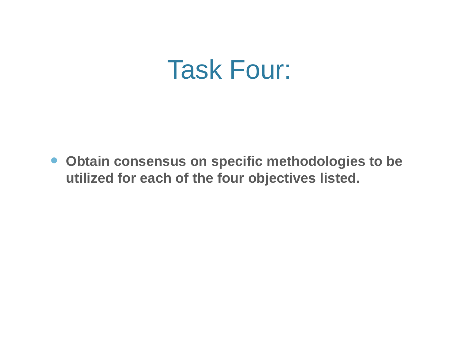## Task Four:

 **Obtain consensus on specific methodologies to be utilized for each of the four objectives listed.**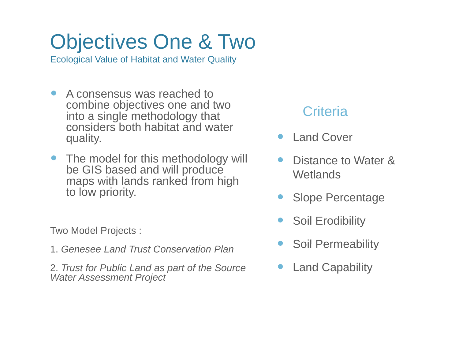## Objectives One & Two

Ecological Value of Habitat and Water Quality

- $\bullet$  A consensus was reached to combine objectives one and two Edition Criteria<br>into a single methodology that Criteria considers both habitat and water quality.
- The model for this methodology will  $\bullet$ be GIS based and will produce maps with lands ranked from high to low priority.

Two Model Projects :

1. Genesee Land Trust Conservation Plan

2. *Trust for Public Land as part of the Source Water Assessment Project*

- $\bullet$ Land Cover
- $\bullet$  Distance to Water & Wetlands
- $\bullet$ • Slope Percentage
- $\bullet$ Soil Erodibility
- $\bullet$ **Soil Permeability**
- $\bullet$ Land Capability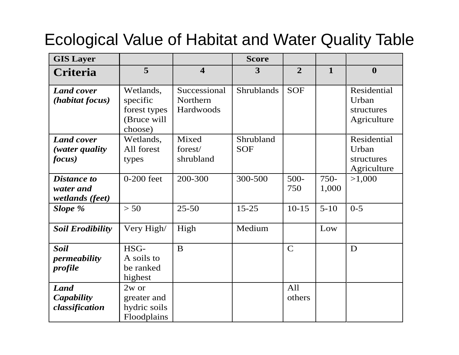### Ecological Value of Habitat and Water Quality Table

| <b>GIS Layer</b>                                   |                                                                 |                                       | <b>Score</b>            |                |               |                                                   |
|----------------------------------------------------|-----------------------------------------------------------------|---------------------------------------|-------------------------|----------------|---------------|---------------------------------------------------|
| Criteria                                           | 5                                                               | $\overline{\mathbf{4}}$               | 3                       | $\overline{2}$ | $\mathbf{1}$  | $\boldsymbol{0}$                                  |
| <b>Land cover</b><br>(habitat focus)               | Wetlands,<br>specific<br>forest types<br>(Bruce will<br>choose) | Successional<br>Northern<br>Hardwoods | <b>Shrublands</b>       | <b>SOF</b>     |               | Residential<br>Urban<br>structures<br>Agriculture |
| <b>Land cover</b><br>(water quality<br>focus)      | Wetlands,<br>All forest<br>types                                | Mixed<br>forest/<br>shrubland         | Shrubland<br><b>SOF</b> |                |               | Residential<br>Urban<br>structures<br>Agriculture |
| <b>Distance to</b><br>water and<br>wetlands (feet) | $0-200$ feet                                                    | 200-300                               | 300-500                 | $500 -$<br>750 | 750-<br>1,000 | >1,000                                            |
| Slope %                                            | > 50                                                            | $25 - 50$                             | $15 - 25$               | $10 - 15$      | $5 - 10$      | $0 - 5$                                           |
| <b>Soil Erodibility</b>                            | Very High/                                                      | High                                  | Medium                  |                | Low           |                                                   |
| <b>Soil</b><br><i>permeability</i><br>profile      | HSG-<br>A soils to<br>be ranked<br>highest                      | B                                     |                         | $\mathbf C$    |               | D                                                 |
| <b>Land</b><br>Capability<br>classification        | 2w or<br>greater and<br>hydric soils<br>Floodplains             |                                       |                         | All<br>others  |               |                                                   |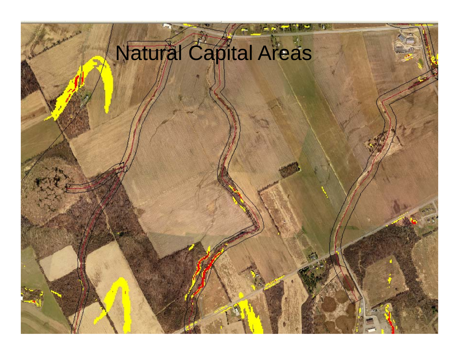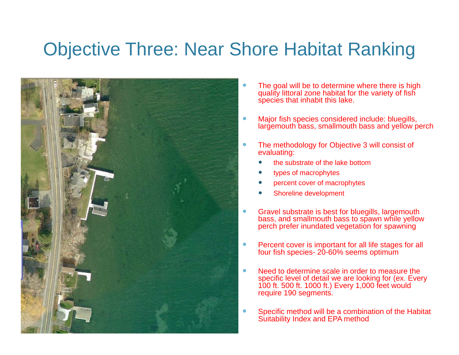### Objective Three: Near Shore Habitat Ranking



- $\bullet$  The goal will be to determine where there is high quality littoral zone habitat for the variety of fish species that inhabit this lake.
- $\bullet$  Major fish species considered include: bluegills, largemouth bass, smallmouth bass and yellow perch
- $\bullet$  The methodology for Objective 3 will consist of evaluating:
	- $\bullet$ the substrate of the lake bottom
	- $\bullet$ types of macrophytes
	- $\bullet$ percent cover of macrophytes
	- 0 Shoreline development
- $\bullet$  Gravel substrate is best for bluegills, largemouth bass, and smallmouth bass to spawn while yellow perch prefer inundated vegetation for spawning
- $\bullet$ Percent cover is important for all life stages for all four fish species- 20-60% seems optimum
- $\bullet$  Need to determine scale in order to measure the specific level of detail we are looking for (ex. Every 100 ft. 500 ft. 1000 ft.) Every 1,000 feet would require 190 segments.
- $\bullet$  Specific method will be a combination of the Habitat Suitability Index and EPA method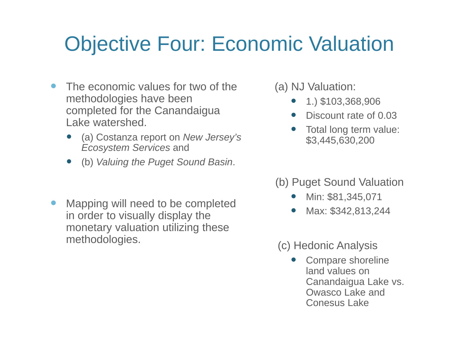### Objective Four: Economic Valuation

- $\bullet$  The economic values for two of the methodologies have been methodologies have been<br>completed for the Canandaigua and the second rate of ( Lake watershed.
	- $\bullet$  (a) Costanza report on *New Jersey's Ecosystem Services* and
	- (b) *Valuing the Puget Sound Basin*.
- Mapping will need to be completed  $\bullet$ in order to visually display the monetary valuation utilizing these methodolo gies.
- (a) NJ Valuation:
	- $1.$ ) \$103,368,906
	- 0 Discount rate of 0.03
	- 0 Total long term value: \$3,445,630,200
- (b) Puget Sound Valuation
	- 0 • Min: \$81,345,071
	- 0 Max: \$342,813,244

### (c) Hedonic Analysis <sup>g</sup>

0 Compare shoreline land values on Canandaigua Lake vs. Owasco Lake and Conesus Lake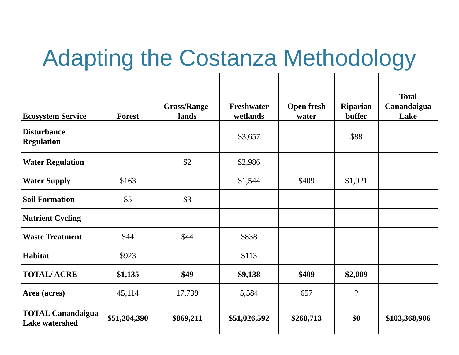## Adapting the Costanza Methodology

| <b>Ecosystem Service</b>                          | <b>Forest</b> | <b>Grass/Range-</b><br>lands | Freshwater<br>wetlands | <b>Open fresh</b><br>water | Riparian<br>buffer | <b>Total</b><br>Canandaigua<br>Lake |
|---------------------------------------------------|---------------|------------------------------|------------------------|----------------------------|--------------------|-------------------------------------|
| <b>Disturbance</b><br><b>Regulation</b>           |               |                              | \$3,657                |                            | \$88               |                                     |
| <b>Water Regulation</b>                           |               | \$2                          | \$2,986                |                            |                    |                                     |
| <b>Water Supply</b>                               | \$163         |                              | \$1,544                | \$409                      | \$1,921            |                                     |
| <b>Soil Formation</b>                             | \$5           | \$3                          |                        |                            |                    |                                     |
| <b>Nutrient Cycling</b>                           |               |                              |                        |                            |                    |                                     |
| <b>Waste Treatment</b>                            | \$44          | \$44                         | \$838                  |                            |                    |                                     |
| <b>Habitat</b>                                    | \$923         |                              | \$113                  |                            |                    |                                     |
| <b>TOTAL/ACRE</b>                                 | \$1,135       | \$49                         | \$9,138                | \$409                      | \$2,009            |                                     |
| Area (acres)                                      | 45,114        | 17,739                       | 5,584                  | 657                        | $\overline{?}$     |                                     |
| <b>TOTAL Canandaigua</b><br><b>Lake watershed</b> | \$51,204,390  | \$869,211                    | \$51,026,592           | \$268,713                  | \$0                | \$103,368,906                       |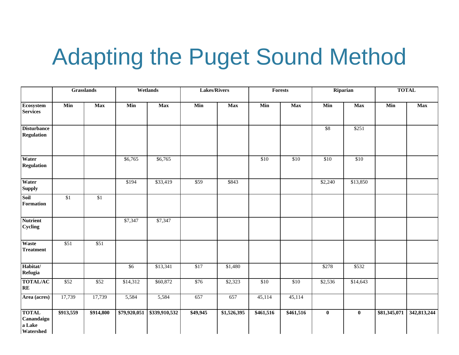## Adapting the Puget Sound Method

|                                                   | <b>Grasslands</b> |            | Wetlands     |               | <b>Lakes/Rivers</b> |             | <b>Forests</b> |            | Riparian         |                         | <b>TOTAL</b> |             |
|---------------------------------------------------|-------------------|------------|--------------|---------------|---------------------|-------------|----------------|------------|------------------|-------------------------|--------------|-------------|
| <b>Ecosystem</b><br><b>Services</b>               | Min               | <b>Max</b> | Min          | <b>Max</b>    | Min                 | <b>Max</b>  | Min            | <b>Max</b> | Min              | <b>Max</b>              | Min          | <b>Max</b>  |
| <b>Disturbance</b><br><b>Regulation</b>           |                   |            |              |               |                     |             |                |            | $\sqrt{$8}$      | \$251                   |              |             |
| Water<br><b>Regulation</b>                        |                   |            | \$6,765      | \$6,765       |                     |             | $\sqrt{$10}$   | \$10       | $\overline{$10}$ | $\sqrt{$10}$            |              |             |
| Water<br><b>Supply</b>                            |                   |            | \$194        | \$33,419      | $\overline{$}59$    | \$843       |                |            | \$2,240          | \$13,850                |              |             |
| Soil<br><b>Formation</b>                          | \$1               | \$1        |              |               |                     |             |                |            |                  |                         |              |             |
| <b>Nutrient</b><br><b>Cycling</b>                 |                   |            | \$7,347      | \$7,347       |                     |             |                |            |                  |                         |              |             |
| Waste<br><b>Treatment</b>                         | \$51              | \$51       |              |               |                     |             |                |            |                  |                         |              |             |
| Habitat/<br>Refugia                               |                   |            | \$6          | \$13,341      | $\sqrt{$17}$        | \$1,480     |                |            | \$278            | \$532                   |              |             |
| <b>TOTAL/AC</b><br>RE                             | \$52              | \$52       | \$14,312     | \$60,872      | \$76                | \$2,323     | \$10           | \$10       | \$2,536          | \$14,643                |              |             |
| Area (acres)                                      | 17,739            | 17,739     | 5,584        | 5,584         | 657                 | 657         | 45,114         | 45,114     |                  |                         |              |             |
| <b>TOTAL</b><br>Canandaigu<br>a Lake<br>Watershed | \$913,559         | \$914,800  | \$79,920,051 | \$339,910,532 | \$49,945            | \$1,526,395 | \$461,516      | \$461,516  | $\bf{0}$         | $\overline{\mathbf{0}}$ | \$81,345,071 | 342,813,244 |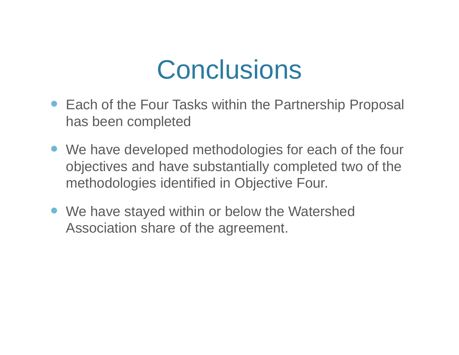# **Conclusions**

- Each of the Four Tasks within the Partnership Proposal has been completed
- We have developed methodologies for each of the four objectives and have substantially completed two of the methodologies identified in Objective Four.
- We have stayed within or below the Watershed Association share of the agreement.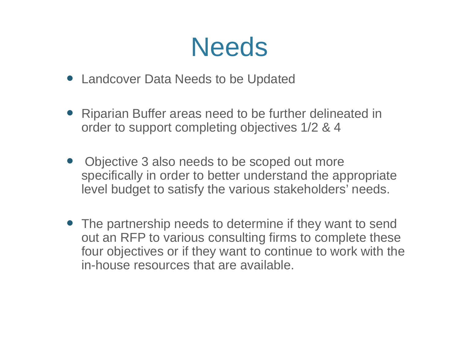# **Needs**

- Landcover Data Needs to be Updated
- Riparian Buffer areas need to be further delineated in order to support completing objectives 1/2 & 4
- $\bullet$  Objective 3 also needs to be scoped out more specifically in order to better understand the appropriate level budget to satisfy the various stakeholders' needs.
- The partnership needs to determine if they want to send out an RFP to various consulting firms to complete these four objectives or if they want to continue to work with the in-house resources that are available.